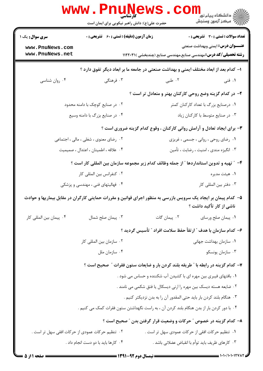|                                                                                          | <b>www.Pnunews</b><br>حضرت علی(ع): دانش راهبر نیکویی برای ایمان است                                            |                                                 | الله دانشگاه پیام نور<br>الله عرکز آزمهن وسنجش                                                                     |  |
|------------------------------------------------------------------------------------------|----------------------------------------------------------------------------------------------------------------|-------------------------------------------------|--------------------------------------------------------------------------------------------------------------------|--|
| <b>سری سوال :</b> یک ۱                                                                   | <b>زمان آزمون (دقیقه) : تستی : 60 ٪ تشریحی : 0</b>                                                             |                                                 | <b>تعداد سوالات : تستي : 30 ٪ تشريحي : 0</b>                                                                       |  |
| www.PnuNews.com<br>www.PnuNews.net                                                       |                                                                                                                |                                                 | <b>عنـــوان درس:</b> ایمنی وبهداشت صنعتی<br><b>رشته تحصیلی/کد درس:</b> مهندسی صنایع،مهندسی صنایع (چندبخشی )۱۱۲۲۰۳۱ |  |
|                                                                                          | ا– کدام بعد از ابعاد مختلف ایمنی و بهداشت صنعتی در جامعه ما بر ابعاد دیگر تفوق دارد ؟                          |                                                 |                                                                                                                    |  |
| ۰۴ روان شناسی                                                                            | ۰۳ فرهنگی                                                                                                      | ۰۲ طبی                                          | ۰۱ فنی                                                                                                             |  |
|                                                                                          |                                                                                                                |                                                 | ۲– در کدام گزینه وضع روحی کارکنان بهتر و متعادل تر است ؟                                                           |  |
|                                                                                          | ۰۲ در صنایع کوچک با دامنه محدود                                                                                | ۰۱ درصنایع بزرگ با تعداد کارکنان کمتر           |                                                                                                                    |  |
|                                                                                          | ۰۴ در صنایع بزرگ با دامنه وسیع                                                                                 | ۰۳ در صنایع متوسط با کارکنان زیاد               |                                                                                                                    |  |
|                                                                                          |                                                                                                                |                                                 | ۳- برای ایجاد تعادل و آرامش روانی کارکنان ، وقوع کدام گزینه ضروری است ؟                                            |  |
|                                                                                          | ۰۲ رضای معنوی ، شغلی ، مالی ، اجتماعی                                                                          | ۰۱ رضای روحی ، روانی ، جسمی ، غریزی             |                                                                                                                    |  |
|                                                                                          | ۰۴ علاقه ، اطمينان ، اعتدال ، صميميت                                                                           | ۰۳ انگیزه مندی ، امنیت ، رضایت ، تأمین          |                                                                                                                    |  |
|                                                                                          | ۴- ″ تهيه و تدوين استانداردها ″ از جمله وظائف كدام زير مجموعه سازمان بين المللي كار است ؟                      |                                                 |                                                                                                                    |  |
|                                                                                          | ۰۲ کنفرانس بین المللی کار                                                                                      |                                                 | ۰۱ هیئت مدیره                                                                                                      |  |
| ۰۴ فهالیتهای فنی ، مهندسی و پزشکی                                                        |                                                                                                                | ۰۳ دفتر بین المللی کار                          |                                                                                                                    |  |
|                                                                                          | ۵− کدام پیمان بر ایجاد یک سرویس بازرسی به منظور اجرای قوانین و مقررات حمایتی کارگران در مقابل بیماریها و حوادث |                                                 | ناشی از کار تأکید داشت ؟                                                                                           |  |
| ۰۴ پیمان بین المللی کار                                                                  | ۰۳ پیمان صلح شمال                                                                                              | ۰۲ پیمان گات                                    | ۰۱ پیمان صلح ورسای                                                                                                 |  |
|                                                                                          |                                                                                                                |                                                 | ۶– کدام سازمان با هدف ″ ارتقأ حفظ سلامت افراد ″ تأسیس گردید ؟                                                      |  |
|                                                                                          | ۰۲ سازمان بين المللي كار                                                                                       | ۰۱ سازمان بهداشت جهانی                          |                                                                                                                    |  |
|                                                                                          | ۰۴ سازمان ملل                                                                                                  | ۰۳ سازمان يونسكو                                |                                                                                                                    |  |
| ۷- کدام گزینه در رابطه با ″ طریقه بلند کردن بار و ضایعات ستون فقرات ″ صحیح است ؟         |                                                                                                                |                                                 |                                                                                                                    |  |
|                                                                                          |                                                                                                                |                                                 | ۱. بافتهای فیبری بین مهره ای با کشیدن آب شکننده و حساس می شود .                                                    |  |
| ۰۲ ضا <mark>یع</mark> ه هسته دیسک بین مهره را ارنی دیسکال یا فتق شکمی می نامند .         |                                                                                                                |                                                 |                                                                                                                    |  |
| ۰۳ هنگام بلند کردن بار باید حتی المقدور آن را به بدن نزدیکتر کنیم .                      |                                                                                                                |                                                 |                                                                                                                    |  |
| ۰۴ با دور کردن بار از بدن هنگام بلند کردن آن ، به راست نگهداشتن ستون فقرات کمک می کنیم . |                                                                                                                |                                                 |                                                                                                                    |  |
| ۸– کدام گزینه در خصوص ″ حرکات و وضعیت قرار گرفتن بدن ″ صحیح است ؟                        |                                                                                                                |                                                 |                                                                                                                    |  |
| ۰۲ تنظیم حرکات عمودی از حرکات افقی سهل تر است .                                          |                                                                                                                | ۰۱ تنظیم حرکات افقی از حرکات عمودی سهل تر است . |                                                                                                                    |  |
|                                                                                          | ۰۴ کارها باید با دو دست انجام داد .                                                                            |                                                 | ۰۳ کارهای ظریف باید توأم با انقباض عضلانی باشد .                                                                   |  |
| = صفحه 1 از 5 =                                                                          |                                                                                                                |                                                 |                                                                                                                    |  |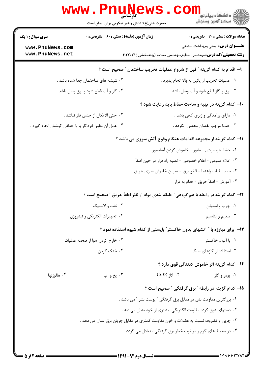|                                    | WWW.Pnung<br>حضرت علی(ع): دانش راهبر نیکویی برای ایمان است | رد دانشڪاه پيام نور ■<br>ا∛ مرکز آزمون وسنجش                                                                       |
|------------------------------------|------------------------------------------------------------|--------------------------------------------------------------------------------------------------------------------|
| <b>سری سوال : ۱ یک</b>             | زمان آزمون (دقیقه) : تستی : 60 ٪ تشریحی : 0                | <b>تعداد سوالات : تستی : 30 ٪ تشریحی : 0</b>                                                                       |
| www.PnuNews.com<br>www.PnuNews.net |                                                            | <b>عنـــوان درس:</b> ایمنی وبهداشت صنعتی<br><b>رشته تحصیلی/کد درس:</b> مهندسی صنایع،مهندسی صنایع (چندبخشی )۱۱۲۲۰۳۱ |
|                                    |                                                            | ۹– اقدام به کدام گزینه ؒ قبل از شروع عملیات تخریب ساختمان ؒ صحیح است ؟                                             |
|                                    | ۰۲ شیشه های ساختمان جدا شده باشد .                         | ٠١. عمليات تخريب از پائين به بالا انجام پذيرد .                                                                    |
|                                    | ۰۴ گاز و آب قطع شود و برق وصل باشد .                       | ۰۳ برق و گاز قطع شود و آب وصل باشد .                                                                               |
|                                    |                                                            | ۱۰- کدام گزینه در تهیه و ساخت حفاظ باید رعایت شود ؟                                                                |
|                                    | ۰۲ حتى الامكان از جنس فلز نباشد .                          | ۰۱ دارای برآمدگی و زبری کافی باشد .                                                                                |
|                                    | ۰۴ عمل آن بطور خودکار یا با حداقل کوشش انجام گیرد .        | ۰۳ حتما موجب نقصان محصول نگردد .                                                                                   |
|                                    |                                                            | 11– كدام گزينه از مجموعه اقدامات هنگام وقوع آتش سوزى مى باشد ؟                                                     |
|                                    |                                                            | ۰۱ حفظ خونسردی - مانور - خاموش کردن آسانسور                                                                        |
|                                    |                                                            | ٠٢ اعلام عمومي -اعلام خصوصي - تعبيه راه فرار در حين اطفأ                                                           |
|                                    |                                                            | ۰۳ نصب طناب راهنما - قطع برق - تمرين خاموش سازي حريق                                                               |
|                                    |                                                            | ۰۴ آموزش - اطفأ حريق - اقدام به فرار                                                                               |
|                                    |                                                            | ۱۲– کدام گزینه در رابطه با هم گروهی ؒ طبقه بندی مواد از نظر اطفأ حریق ؒ صحیح است ؟                                 |
|                                    | ۰۲ نفت و لاستیک                                            | ٠١ چوب واستيلن                                                                                                     |
|                                    | ۰۴ تجهیزات الکتریکی و ئیدروژن                              | ۰۳ سدیم و پتاسیم                                                                                                   |
|                                    |                                                            | ۱۳– برای مبارزه با " آتشهای بدون خاکستر" بایستی از کدام شیوه استفاده نمود ؟                                        |
|                                    | ۰۲ خارج کردن هوا از صحنه عملیات                            | ۰۱ با آب و خاکستر                                                                                                  |
|                                    | ۰۴ خنک کردن                                                | ۰۳ استفاده از گازهای سبک                                                                                           |
|                                    |                                                            | ۱۴– کدام گزینه اثر خاموش کنندگی قوی دارد ؟                                                                         |
| ۰۴ هالوژنها                        | ۰۳ يخ و آب                                                 | $CO2$ گاز $\cdot$<br>۰۱ پودر و گاز                                                                                 |
|                                    |                                                            | 1۵– کدام گزینه در رابطه ″ برق گرفتگی ″ صحیح است ؟                                                                  |
|                                    |                                                            | ٠١ بزر گترين مقاومت بدن در مقابل برق گرفتگي ″ پوست بشر ″ مي باشد .                                                 |
|                                    |                                                            | ۰۲ دستهای عرق کرده مقاومت الکتریکی بیشتری از خود نشان می دهد .                                                     |
|                                    |                                                            | ۰۳ چربی و غضروف نسبت به عضلات و خون مقاومت کمتری در مقابل جریان برق نشان می دهد .                                  |
|                                    |                                                            | ۰۴ در محیط های گرم و مرطوب خطر برق گرفتگی متعادل می گردد .                                                         |
|                                    |                                                            |                                                                                                                    |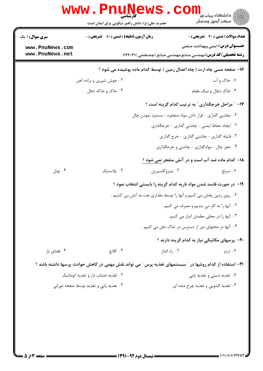| <b>www.PnuN</b>                                                        |                                                                 | ڪ دانشڪاه پيام نور<br>ا∛ مرڪز آزمون وسنڊش                                                                                                                                                                                                                                                                                                                                                                                               |  |  |
|------------------------------------------------------------------------|-----------------------------------------------------------------|-----------------------------------------------------------------------------------------------------------------------------------------------------------------------------------------------------------------------------------------------------------------------------------------------------------------------------------------------------------------------------------------------------------------------------------------|--|--|
|                                                                        |                                                                 | تعداد سوالات : تستى : 30 قشريحى : 0                                                                                                                                                                                                                                                                                                                                                                                                     |  |  |
|                                                                        |                                                                 | <b>عنـــوان درس:</b> ایمنی وبهداشت صنعتی                                                                                                                                                                                                                                                                                                                                                                                                |  |  |
| ۱۶- صفحه مسی چاه ارت ( چاه اتصال زمین ) توسط کدام ماده پوشیده می شود ؟ |                                                                 |                                                                                                                                                                                                                                                                                                                                                                                                                                         |  |  |
| ۰۲ جوش شیرین و براده آهن                                               |                                                                 | ۱. خاک و آب                                                                                                                                                                                                                                                                                                                                                                                                                             |  |  |
| ۰۴ خاک و خاکه ذغال                                                     |                                                                 | ۰۳ خاک ذغال و نمک طعام                                                                                                                                                                                                                                                                                                                                                                                                                  |  |  |
|                                                                        | ۱۷- ″ مراحل خرجگذاری ″ به ترتیب کدام گزینه است ؟                |                                                                                                                                                                                                                                                                                                                                                                                                                                         |  |  |
| ۱. چاشنی گذاری - قرار دادن مواد منفجره - مسدود نمودن چال               |                                                                 |                                                                                                                                                                                                                                                                                                                                                                                                                                         |  |  |
|                                                                        | ۰۲ ایجاد حفاظ ایمنی - چاشنی گذاری - خرجگذاری                    |                                                                                                                                                                                                                                                                                                                                                                                                                                         |  |  |
|                                                                        |                                                                 | ۰۳ فتیله گذاری - چاشنی گذاری - خرج گذاری                                                                                                                                                                                                                                                                                                                                                                                                |  |  |
|                                                                        |                                                                 | ۰۴ حفر چال - موادگذاری - چاشنی و خرجگذاری                                                                                                                                                                                                                                                                                                                                                                                               |  |  |
|                                                                        | <b>۱۸</b> - کدام ماده ضد آب است و در آتش منفجر <u>نمی شود ؟</u> |                                                                                                                                                                                                                                                                                                                                                                                                                                         |  |  |
| ۰۳ پلاستیک                                                             | ۰۲ نیتروگلسیرین                                                 | ۰۱ سرنج                                                                                                                                                                                                                                                                                                                                                                                                                                 |  |  |
|                                                                        |                                                                 |                                                                                                                                                                                                                                                                                                                                                                                                                                         |  |  |
|                                                                        |                                                                 |                                                                                                                                                                                                                                                                                                                                                                                                                                         |  |  |
|                                                                        |                                                                 | ٢. آنها را به كار مي بنديم و مصرف مي كنيم .                                                                                                                                                                                                                                                                                                                                                                                             |  |  |
|                                                                        |                                                                 | ۰۳ آنها را در محلی مطمئن انبار می کنیم .                                                                                                                                                                                                                                                                                                                                                                                                |  |  |
|                                                                        | ۰۴ آنها در محلهای دور از دسترس در خاک دفن می کنیم .             |                                                                                                                                                                                                                                                                                                                                                                                                                                         |  |  |
|                                                                        |                                                                 | <b>۲۰</b> پرسهای مکانیکی نیاز به کدام گزینه دارند ؟                                                                                                                                                                                                                                                                                                                                                                                     |  |  |
| ۰۳ کلاچ                                                                | ۰۲ راه انداز                                                    | ۰۱ ترمز                                                                                                                                                                                                                                                                                                                                                                                                                                 |  |  |
|                                                                        |                                                                 |                                                                                                                                                                                                                                                                                                                                                                                                                                         |  |  |
| ۲. تقذیه خشاب دار و تغذیه اتوماتیک                                     |                                                                 | ۰۱ تغذیه دستی و تغذیه پایی                                                                                                                                                                                                                                                                                                                                                                                                              |  |  |
| ۰۴ تغذیه پایی و تغذیه توسط صفحه دورانی                                 |                                                                 | ۰۳ تغذیه کشویی و تغذیه چرخ دنده ای                                                                                                                                                                                                                                                                                                                                                                                                      |  |  |
|                                                                        |                                                                 |                                                                                                                                                                                                                                                                                                                                                                                                                                         |  |  |
|                                                                        |                                                                 |                                                                                                                                                                                                                                                                                                                                                                                                                                         |  |  |
|                                                                        |                                                                 |                                                                                                                                                                                                                                                                                                                                                                                                                                         |  |  |
|                                                                        |                                                                 |                                                                                                                                                                                                                                                                                                                                                                                                                                         |  |  |
|                                                                        |                                                                 | کارشناسی<br>حضرت علی(ع): دانش راهبر نیکویی برای ایمان است<br>زمان آزمون (دقیقه) : تستی : ۶۰٪ تشریحی : ۰<br><b>رشته تحصیلی/کد درس:</b> مهندسی صنایع،مهندسی صنایع (چندبخشی )۱۱۲۲۰۳۱<br>۱۹- در صورت فاسد شدن مواد ناریه کدام گزینه را بایستی انتخاب نمود ؟<br>۰۱ روی زمین پخش می کنیم و آنها را توسط مقداری نفت به آتش می کشیم .<br>۲۱– استفاده از کدام روشها در " سیستمهای تغذیه پرس " می تواند نقش مهمی در کاهش حوادث پرسها داشته باشد ؟ |  |  |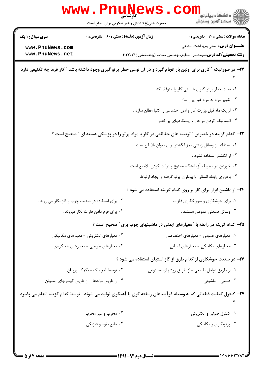|                                    | <b>WWW.PNUN</b><br>کارشناسی<br>حضرت علی(ع): دانش راهبر نیکویی برای ایمان است | ڪ دانشڪاه پيا <sub>م</sub> نور<br><mark>√</mark> مرڪز آزمون وسنڊش                                                           |
|------------------------------------|------------------------------------------------------------------------------|-----------------------------------------------------------------------------------------------------------------------------|
| <b>سری سوال : ۱ یک</b>             | <b>زمان آزمون (دقیقه) : تستی : 60 ٪ تشریحی : 0</b>                           | <b>تعداد سوالات : تستی : 30 ٪ تشریحی : 0</b>                                                                                |
| www.PnuNews.com<br>www.PnuNews.net |                                                                              | <b>عنـــوان درس:</b> ایمنی وبهداشت صنعتی<br><b>رشته تحصیلی/کد درس:</b> مهندسی صنایع،مهندسی صنایع (چندبخشی )۱۱۲۲۰۳۱ <b>۱</b> |
|                                    |                                                                              | ۲۲- در صورتیکه ″ کاری برای اولین بار انجام گیرد و در آن نوعی خطر پرتو گیری وجود داشته باشد ″ کار فرما چه تکلیفی دارد        |
|                                    |                                                                              | ۰۱ بعلت خطر پرتو گیری بایستی کار را متوقف کند .                                                                             |
|                                    |                                                                              | ۰۲ تغییر مواد به مواد غیر یون ساز                                                                                           |
|                                    |                                                                              | ۰۳ از یک ماه قبل وزارت کار و امور اجتماعی را کتبا مطلع سازد .                                                               |
|                                    |                                                                              | ۰۴ اتوماتیک کردن مراحل و ایستگاههای پر خطر                                                                                  |
|                                    |                                                                              | ۲۳– کدام گزینه در خصوص ″ توصیه های حفاظتی در کار با مواد پر تو زا در پزشکی هسته ای ″ صحیح است ؟                             |
|                                    |                                                                              | ٠١ استفاده از وسائل زينتي بجز انگشتر براي بانوان بلامانع است .                                                              |
|                                    |                                                                              | ۰۲ از انگشتر استفاده نشود .                                                                                                 |
|                                    |                                                                              | ۰۳ خوردن در محوطه آزمایشگاه ممنوع و توالت کردن بلامانع است .                                                                |
|                                    |                                                                              | ۰۴ برقراری رابطه انسانی با بیماران پرتو گرفته و ایجاد ارتباط                                                                |
|                                    |                                                                              | ۲۴- از ماشین ابزار برای کار بر روی کدام گزینه استفاده می شود ؟                                                              |
|                                    | ۰۲ برای استفاده در صنعت چوب و فلز بکار می روند .                             | ٠١ برای جوشکاری و سوراخکاری فلزات                                                                                           |
|                                    | ۰۴ برای فرم دادن فلزات بکار میروند .                                         | ۰۳ وسائل صنعتی عمومی هستند .                                                                                                |
|                                    |                                                                              | ۲۵– کدام گزینه در رابطه با " معیارهای ایمنی در ماشینهای چوب بری " صحیح است ؟                                                |
|                                    | ۰۲ معیارهای الکتریکی - معیارهای مکانیکی                                      | ۰۱ معیارهای عمومی - معیارهای اختصاصی                                                                                        |
|                                    | ۰۴ معیارهای طراحی - معیارهای عملکردی                                         | ۰۳ معیارهای مکانیکی - معیارهای انسانی                                                                                       |
|                                    |                                                                              | ۲۶- در صنعت جوشکاری از کدام طرق از گاز استیلن استفاده می شود ؟                                                              |
|                                    | ۰۲ توسط آمونیاک - بکمک پروپان                                                | ٠١ از طريق عوامل طبيعي - از طريق روشهاى مصنوعي                                                                              |
|                                    | ۰۴ از طریق مولدها - از طریق کپسولهای استیلن                                  | ۰۳ دستی - ماشینی                                                                                                            |
|                                    |                                                                              | ۲۷– کنترل کیفیت قطعاتی که به وسیله فرآیندهای ریخته گری یا آهنگری تولید می شوند ، توسط کدام گزینه انجام می پذیرد             |
|                                    | ۰۲ مخرب و غیر مخرب                                                           | ۰۱ کنترل صوتی و الکتریکی                                                                                                    |
|                                    | ۰۴ مایع نفوذ و فیزیکی                                                        | ۰۳ پرتونگاری و مکانیکی                                                                                                      |
|                                    |                                                                              |                                                                                                                             |